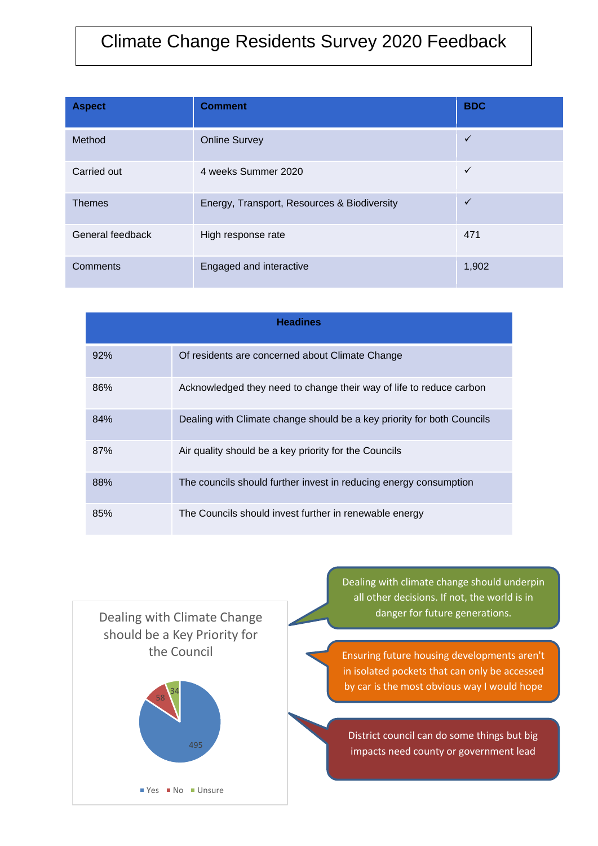## Climate Change Residents Survey 2020 Feedback

| <b>Aspect</b>    | <b>Comment</b>                              | <b>BDC</b>   |  |
|------------------|---------------------------------------------|--------------|--|
| Method           | <b>Online Survey</b>                        | $\checkmark$ |  |
| Carried out      | 4 weeks Summer 2020                         | $\checkmark$ |  |
| <b>Themes</b>    | Energy, Transport, Resources & Biodiversity | $\checkmark$ |  |
| General feedback | High response rate                          | 471          |  |
| Comments         | Engaged and interactive                     | 1,902        |  |

| <b>Headines</b> |                                                                        |  |  |  |  |
|-----------------|------------------------------------------------------------------------|--|--|--|--|
| 92%             | Of residents are concerned about Climate Change                        |  |  |  |  |
| 86%             | Acknowledged they need to change their way of life to reduce carbon    |  |  |  |  |
| 84%             | Dealing with Climate change should be a key priority for both Councils |  |  |  |  |
| 87%             | Air quality should be a key priority for the Councils                  |  |  |  |  |
| 88%             | The councils should further invest in reducing energy consumption      |  |  |  |  |
| 85%             | The Councils should invest further in renewable energy                 |  |  |  |  |



Dealing with climate change should underpin all other decisions. If not, the world is in danger for future generations.

Ensuring future housing developments aren't in isolated pockets that can only be accessed by car is the most obvious way I would hope

District council can do some things but big and the countries of the countries of the countries of the countries of the countries of the countries of the countries of the countries of the countries of the countries of the countries of the countries of the countries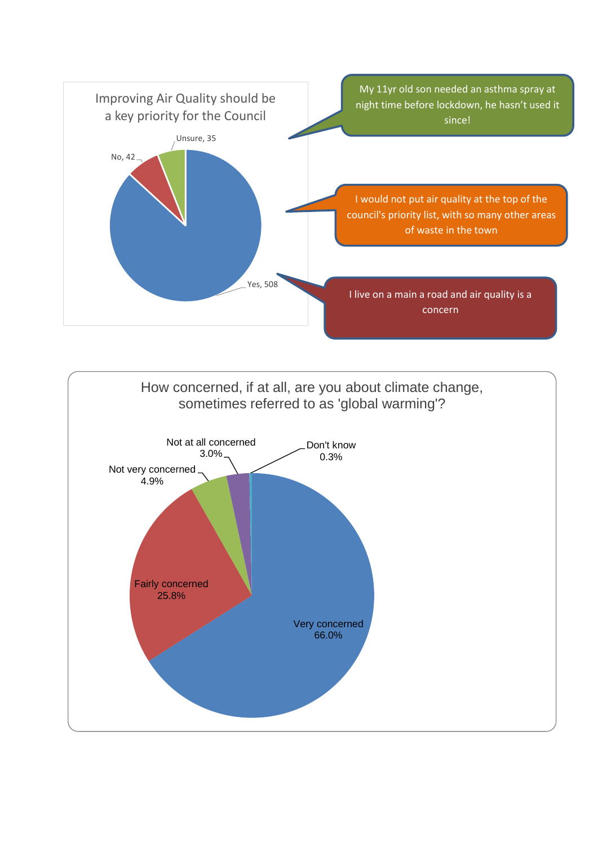

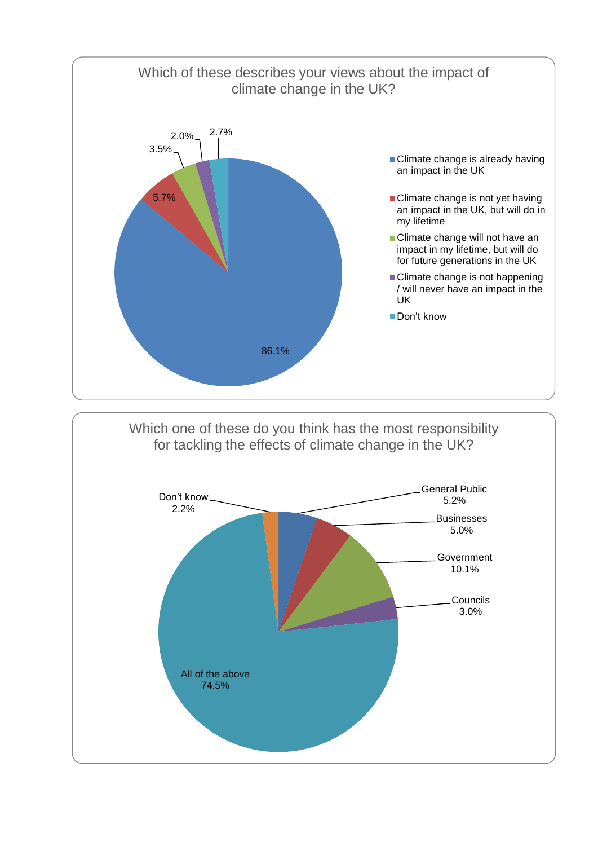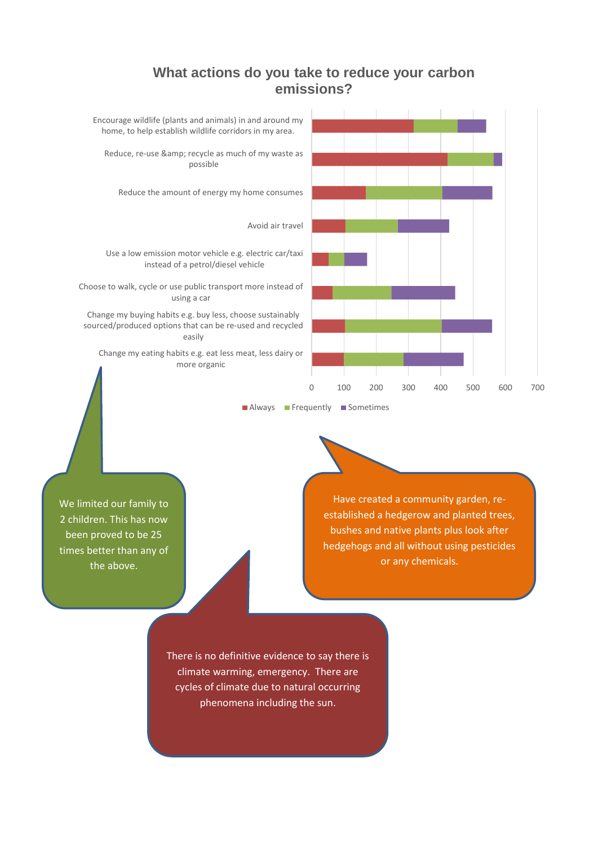## **What actions do you take to reduce your carbon emissions?**



We limited our family to 2 children. This has now been proved to be 25 times better than any of the above.

Have created a community garden, reestablished a hedgerow and planted trees, bushes and native plants plus look after hedgehogs and all without using pesticides or any chemicals.

There is no definitive evidence to say there is climate warming, emergency. There are cycles of climate due to natural occurring phenomena including the sun.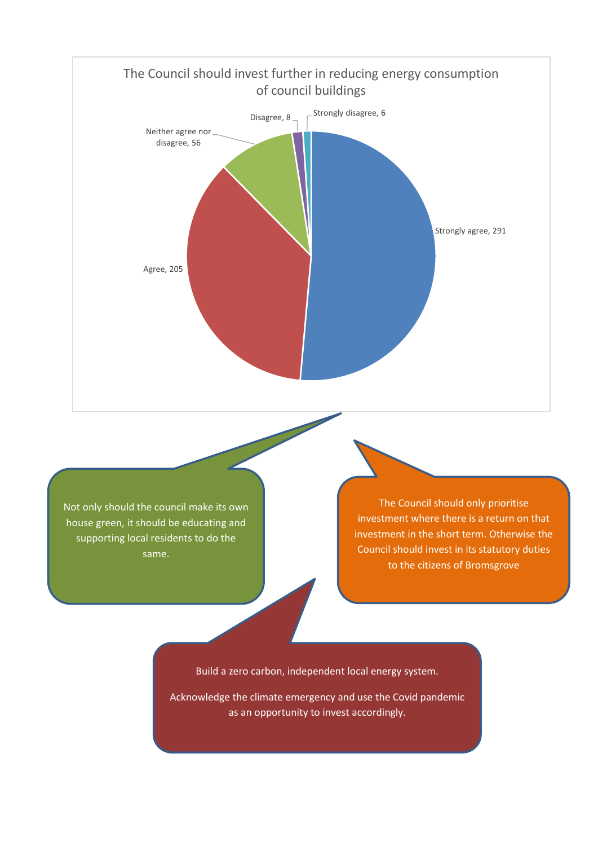

Acknowledge the climate emergency and use the Covid pandemic as an opportunity to invest accordingly.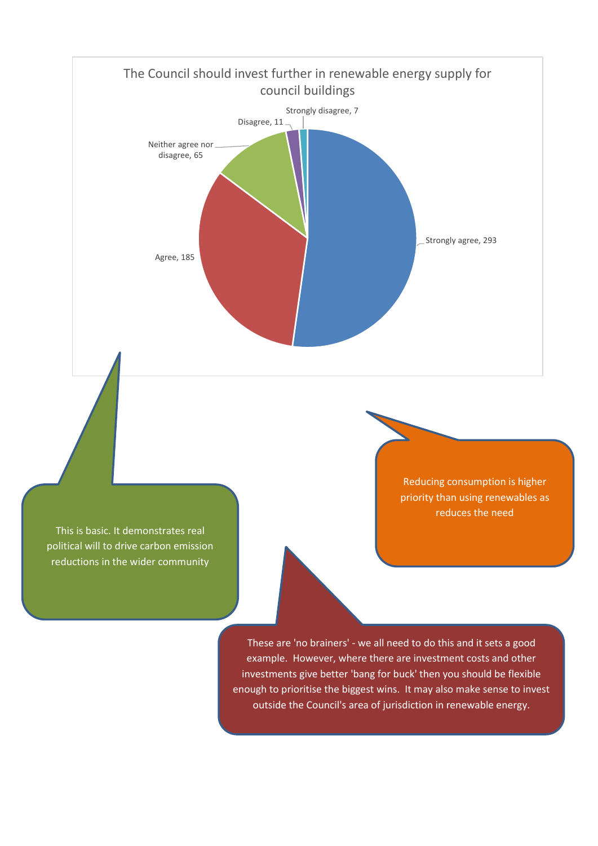

This is basic. It demonstrates real political will to drive carbon emission reductions in the wider community

Reducing consumption is higher priority than using renewables as reduces the need

These are 'no brainers' - we all need to do this and it sets a good example. However, where there are investment costs and other investments give better 'bang for buck' then you should be flexible enough to prioritise the biggest wins. It may also make sense to invest outside the Council's area of jurisdiction in renewable energy.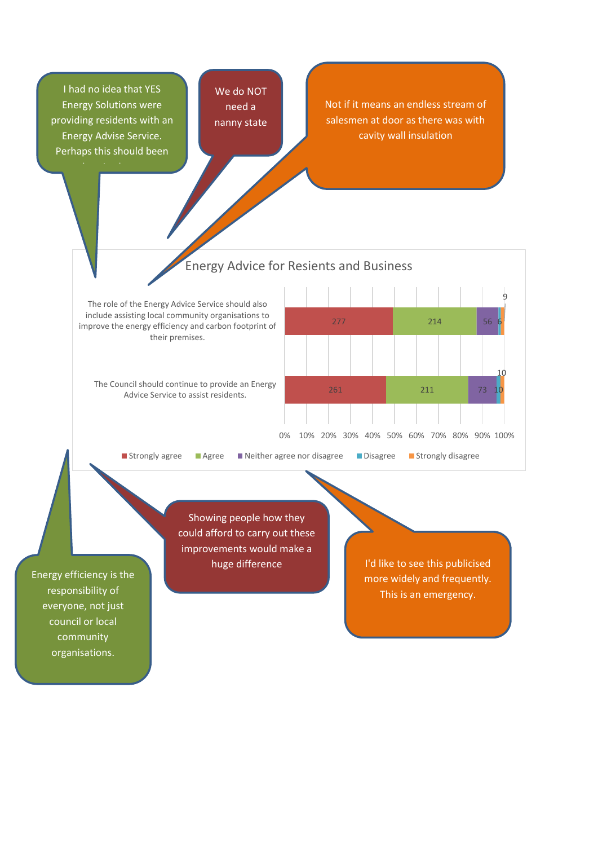I had no idea that YES Energy Solutions were providing residents with an Energy Advise Service. Perhaps this should been

advertised more.

We do NOT need a nanny state

Not if it means an endless stream of salesmen at door as there was with cavity wall insulation

## Energy Advice for Resients and Business

The role of the Energy Advice Service should also include assisting local community organisations to improve the energy efficiency and carbon footprint of their premises.

The Council should continue to provide an Energy Advice Service to assist residents.



Showing people how they could afford to carry out these improvements would make a

huge difference

I'd like to see this publicised more widely and frequently. This is an emergency.

Energy efficiency is the responsibility of everyone, not just council or local community organisations.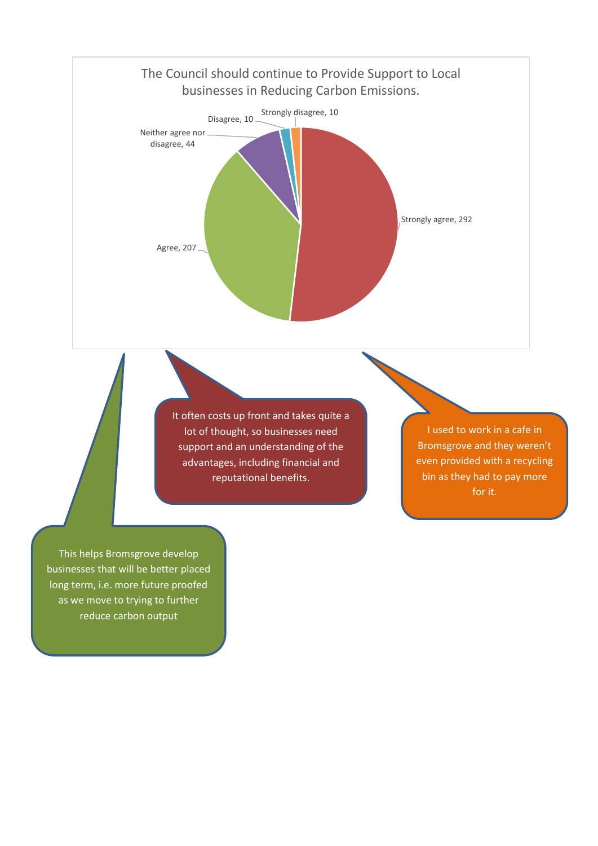

It often costs up front and takes quite a lot of thought, so businesses need support and an understanding of the advantages, including financial and reputational benefits.

I used to work in a cafe in Bromsgrove and they weren't even provided with a recycling bin as they had to pay more for it.

This helps Bromsgrove develop businesses that will be better placed long term, i.e. more future proofed as we move to trying to further reduce carbon output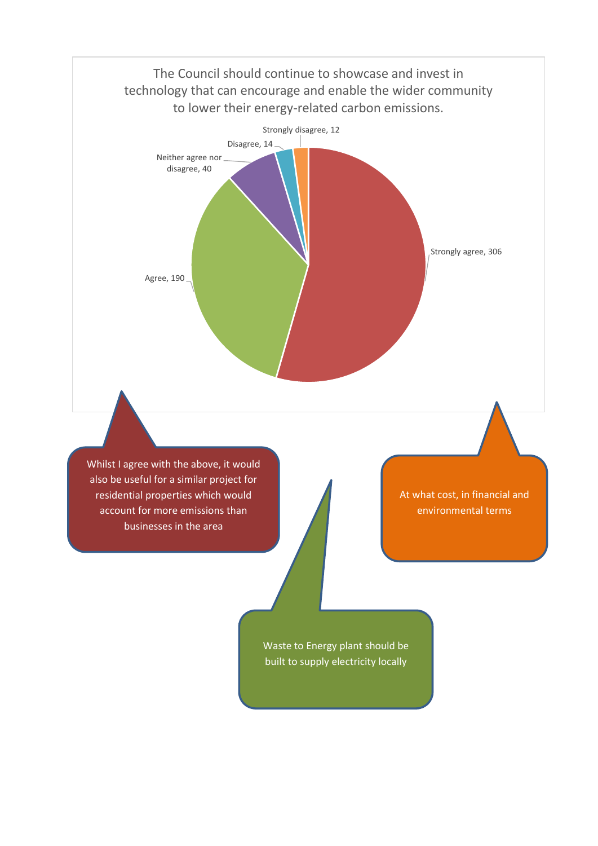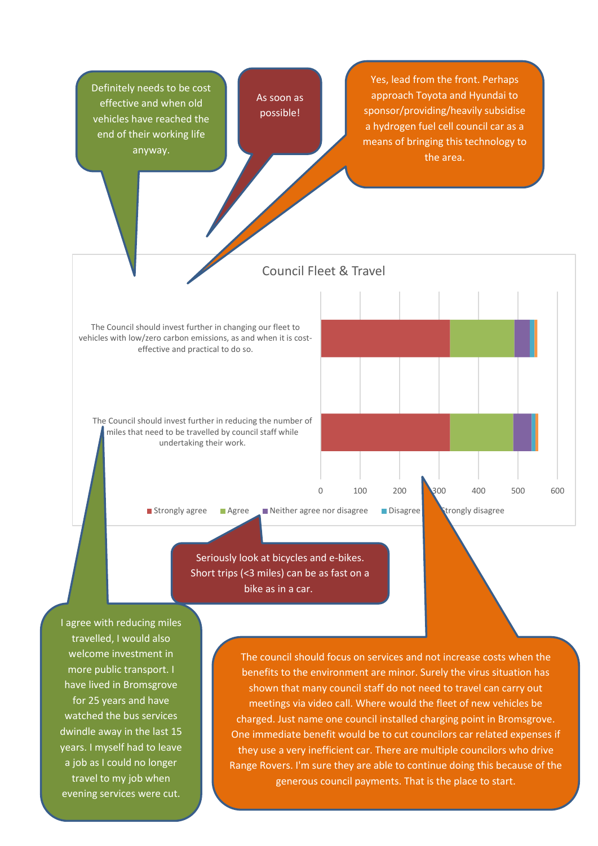

charged. Just name one council installed charging point in Bromsgrove. One immediate benefit would be to cut councilors car related expenses if they use a very inefficient car. There are multiple councilors who drive Range Rovers. I'm sure they are able to continue doing this because of the generous council payments. That is the place to start.

watched the bus services dwindle away in the last 15 years. I myself had to leave a job as I could no longer travel to my job when evening services were cut.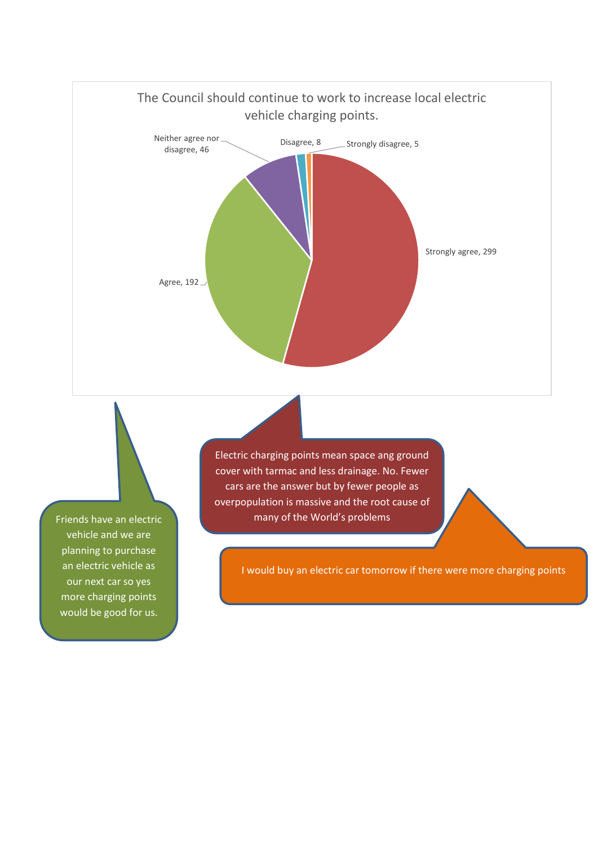

Friends have an electric vehicle and we are planning to purchase an electric vehicle as our next car so yes more charging points would be good for us.

Electric charging points mean space ang ground cover with tarmac and less drainage. No. Fewer cars are the answer but by fewer people as overpopulation is massive and the root cause of many of the World's problems

I would buy an electric car tomorrow if there were more charging points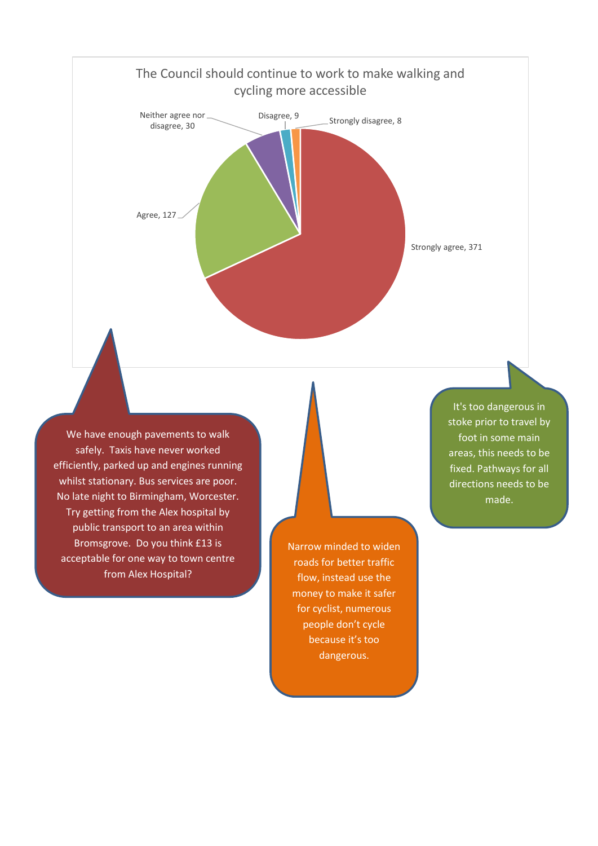

We have enough pavements to walk safely. Taxis have never worked efficiently, parked up and engines running whilst stationary. Bus services are poor. No late night to Birmingham, Worcester. Try getting from the Alex hospital by public transport to an area within Bromsgrove. Do you think £13 is acceptable for one way to town centre from Alex Hospital?

Narrow minded to widen roads for better traffic flow, instead use the money to make it safer for cyclist, numerous people don't cycle because it's too dangerous.

It's too dangerous in stoke prior to travel by foot in some main areas, this needs to be fixed. Pathways for all directions needs to be made.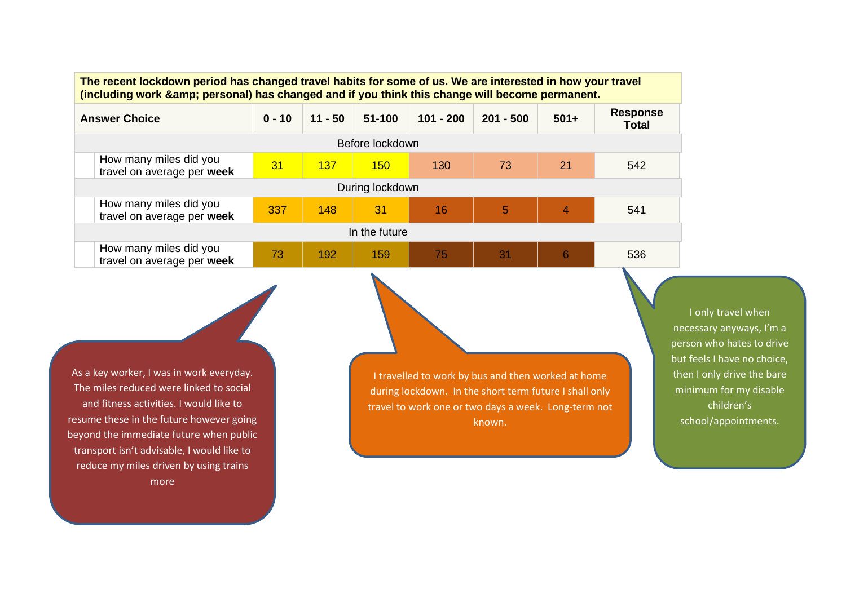**The recent lockdown period has changed travel habits for some of us. We are interested in how your travel (including work & personal) has changed and if you think this change will become permanent.**

| <b>Answer Choice</b>                                 | $0 - 10$ | $11 - 50$ | $51 - 100$ | $101 - 200$ | $201 - 500$ | $501+$         | <b>Response</b><br><b>Total</b> |  |  |
|------------------------------------------------------|----------|-----------|------------|-------------|-------------|----------------|---------------------------------|--|--|
| Before lockdown                                      |          |           |            |             |             |                |                                 |  |  |
| How many miles did you<br>travel on average per week | 31       | 137       | 150        | 130         | 73          | 21             | 542                             |  |  |
| During lockdown                                      |          |           |            |             |             |                |                                 |  |  |
| How many miles did you<br>travel on average per week | 337      | 148       | 31         | 16          | 5           | $\overline{4}$ | 541                             |  |  |
| In the future                                        |          |           |            |             |             |                |                                 |  |  |
| How many miles did you<br>travel on average per week | 73       | 192       | 159        | 75          | 31          | 6              | 536                             |  |  |

As a key worker, I was in work everyday. The miles reduced were linked to social and fitness activities. I would like to resume these in the future however going beyond the immediate future when public transport isn't advisable, I would like to reduce my miles driven by using trains more

I travelled to work by bus and then worked at home during lockdown. In the short term future I shall only travel to work one or two days a week. Long-term not known.

I only travel when necessary anyways, I'm a person who hates to drive but feels I have no choice, then I only drive the bare minimum for my disable children's school/appointments.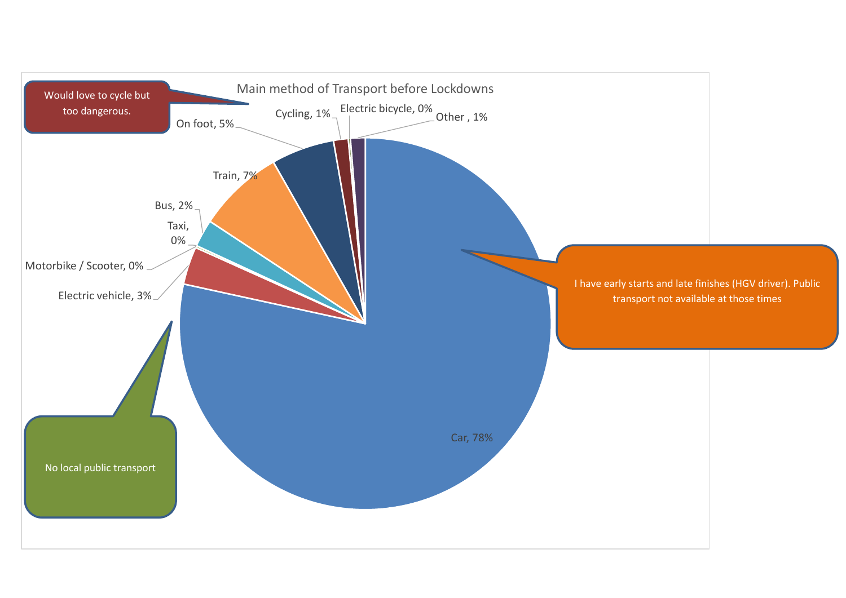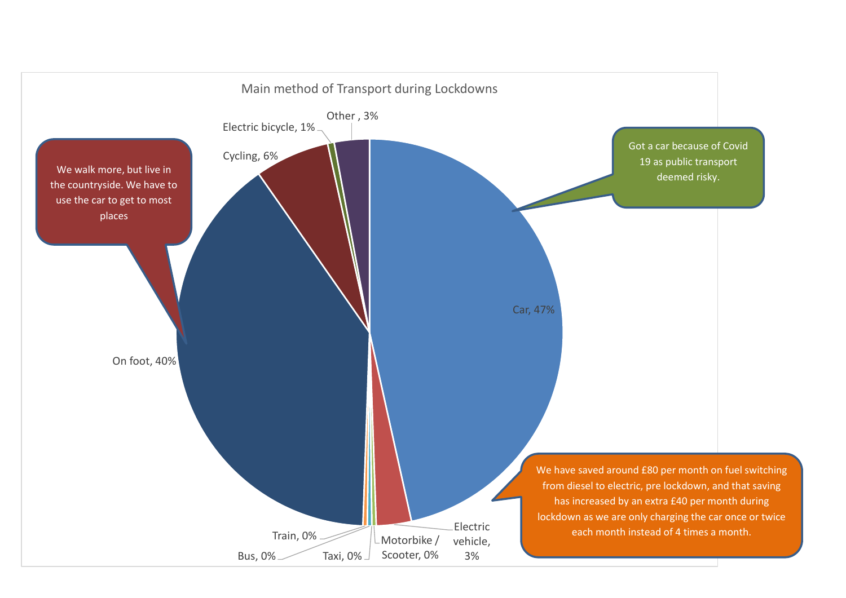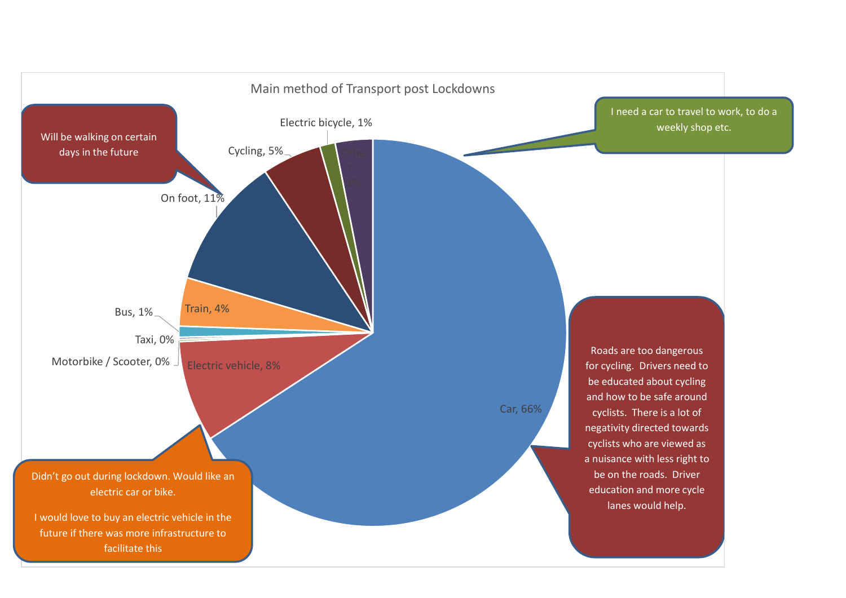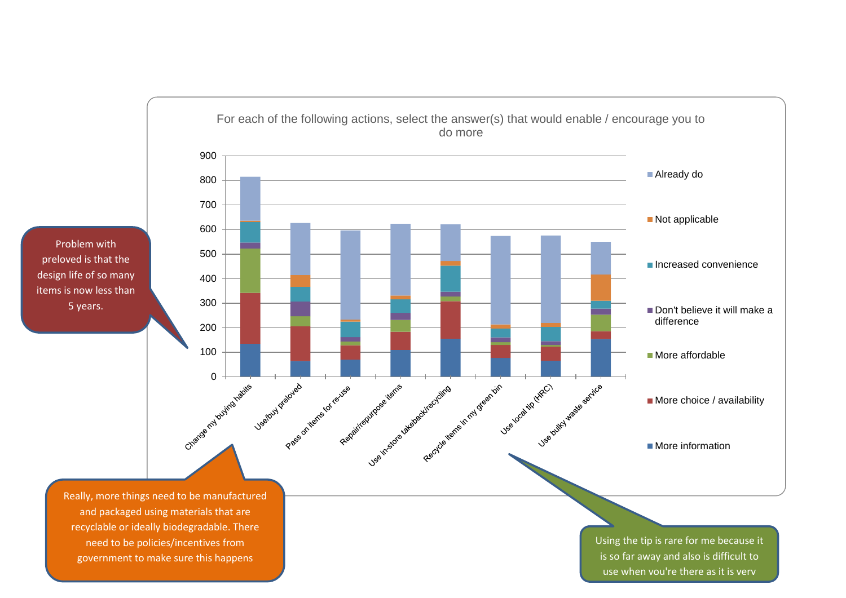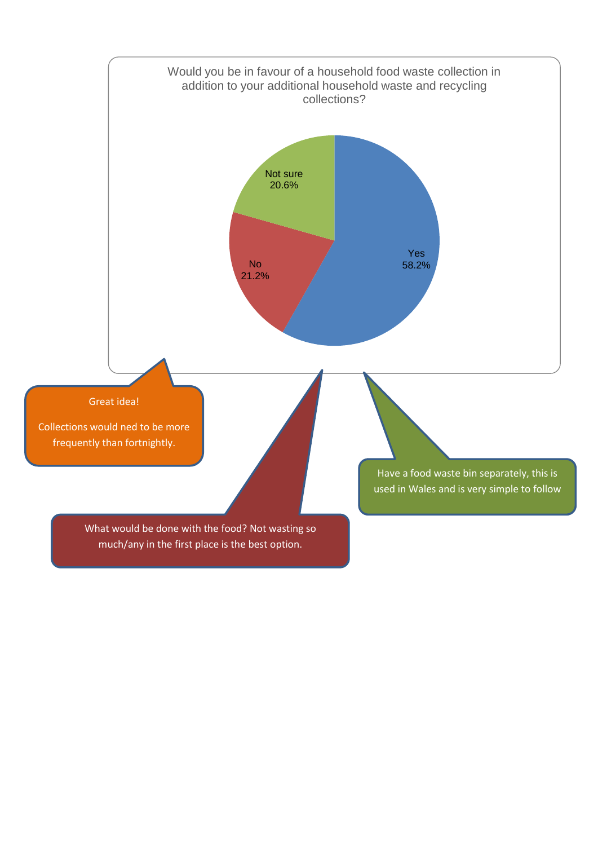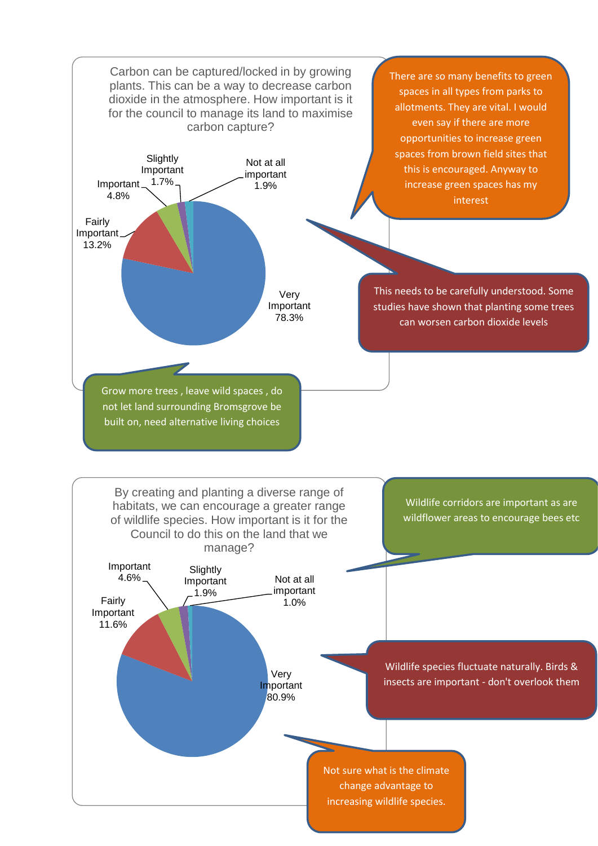